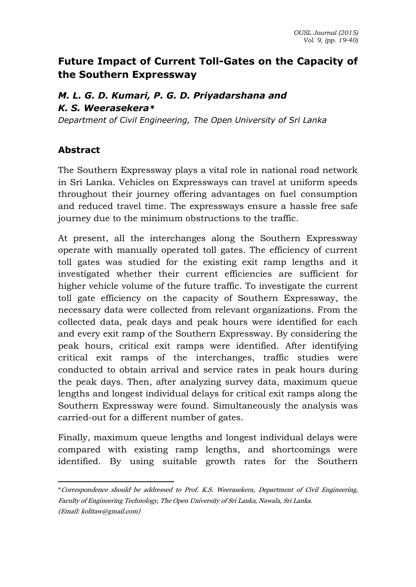# **Future Impact of Current Toll-Gates on the Capacity of the Southern Expressway**

# *M. L. G. D. Kumari, P. G. D. Priyadarshana and K. S. Weerasekera\**

*Department of Civil Engineering, The Open University of Sri Lanka*

# **Abstract**

The Southern Expressway plays a vital role in national road network in Sri Lanka. Vehicles on Expressways can travel at uniform speeds throughout their journey offering advantages on fuel consumption and reduced travel time. The expressways ensure a hassle free safe journey due to the minimum obstructions to the traffic.

At present, all the interchanges along the Southern Expressway operate with manually operated toll gates. The efficiency of current toll gates was studied for the existing exit ramp lengths and it investigated whether their current efficiencies are sufficient for higher vehicle volume of the future traffic. To investigate the current toll gate efficiency on the capacity of Southern Expressway, the necessary data were collected from relevant organizations. From the collected data, peak days and peak hours were identified for each and every exit ramp of the Southern Expressway. By considering the peak hours, critical exit ramps were identified. After identifying critical exit ramps of the interchanges, traffic studies were conducted to obtain arrival and service rates in peak hours during the peak days. Then, after analyzing survey data, maximum queue lengths and longest individual delays for critical exit ramps along the Southern Expressway were found. Simultaneously the analysis was carried-out for a different number of gates.

Finally, maximum queue lengths and longest individual delays were compared with existing ramp lengths, and shortcomings were identified. By using suitable growth rates for the Southern

 $\overline{a}$ \*Correspondence should be addressed to Prof. K.S. Weerasekera, Department of Civil Engineering, Faculty of Engineering Technology, The Open University of Sri Lanka, Nawala, Sri Lanka. (Email: kolitaw@gmail.com)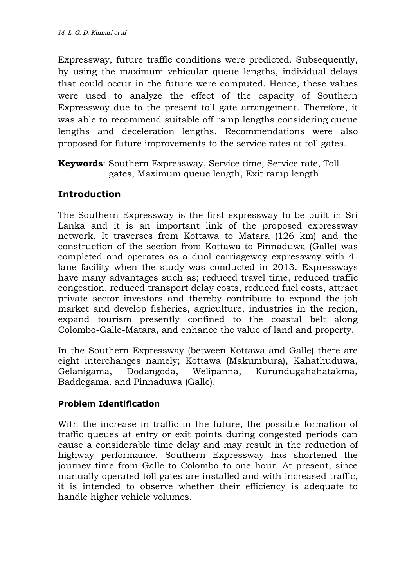Expressway, future traffic conditions were predicted. Subsequently, by using the maximum vehicular queue lengths, individual delays that could occur in the future were computed. Hence, these values were used to analyze the effect of the capacity of Southern Expressway due to the present toll gate arrangement. Therefore, it was able to recommend suitable off ramp lengths considering queue lengths and deceleration lengths. Recommendations were also proposed for future improvements to the service rates at toll gates.

**Keywords**: Southern Expressway, Service time, Service rate, Toll gates, Maximum queue length, Exit ramp length

# **Introduction**

The Southern Expressway is the first expressway to be built in Sri Lanka and it is an important link of the proposed expressway network. It traverses from Kottawa to Matara (126 km) and the construction of the section from Kottawa to Pinnaduwa (Galle) was completed and operates as a dual carriageway expressway with 4 lane facility when the study was conducted in 2013. Expressways have many advantages such as; reduced travel time, reduced traffic congestion, reduced transport delay costs, reduced fuel costs, attract private sector investors and thereby contribute to expand the job market and develop fisheries, agriculture, industries in the region, expand tourism presently confined to the coastal belt along Colombo-Galle-Matara, and enhance the value of land and property.

In the Southern Expressway (between Kottawa and Galle) there are eight interchanges namely; Kottawa (Makumbura), Kahathuduwa, Gelanigama, Dodangoda, Welipanna, Kurundugahahatakma, Baddegama, and Pinnaduwa (Galle).

## **Problem Identification**

With the increase in traffic in the future, the possible formation of traffic queues at entry or exit points during congested periods can cause a considerable time delay and may result in the reduction of highway performance. Southern Expressway has shortened the journey time from Galle to Colombo to one hour. At present, since manually operated toll gates are installed and with increased traffic, it is intended to observe whether their efficiency is adequate to handle higher vehicle volumes.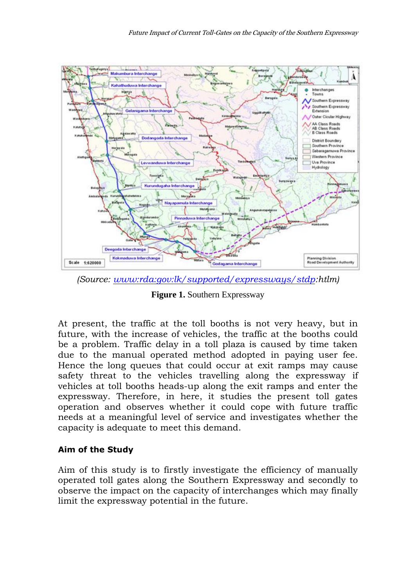

*(Source: [www:rda:gov:lk/supported/expressways/stdp:](http://www.rda.gov.lk/supported/expressways/stdp)htlm)*

**Figure 1.** Southern Expressway

At present, the traffic at the toll booths is not very heavy, but in future, with the increase of vehicles, the traffic at the booths could be a problem. Traffic delay in a toll plaza is caused by time taken due to the manual operated method adopted in paying user fee. Hence the long queues that could occur at exit ramps may cause safety threat to the vehicles travelling along the expressway if vehicles at toll booths heads-up along the exit ramps and enter the expressway. Therefore, in here, it studies the present toll gates operation and observes whether it could cope with future traffic needs at a meaningful level of service and investigates whether the capacity is adequate to meet this demand.

### **Aim of the Study**

Aim of this study is to firstly investigate the efficiency of manually operated toll gates along the Southern Expressway and secondly to observe the impact on the capacity of interchanges which may finally limit the expressway potential in the future.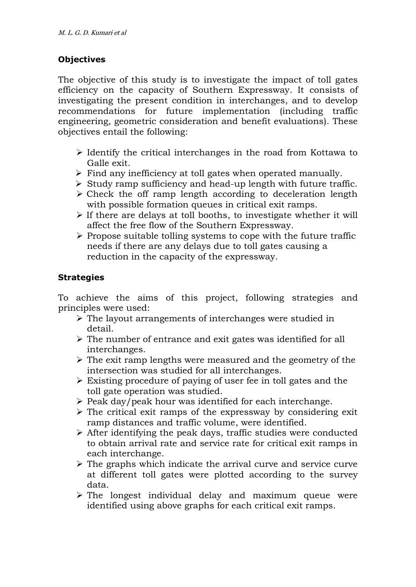### **Objectives**

The objective of this study is to investigate the impact of toll gates efficiency on the capacity of Southern Expressway. It consists of investigating the present condition in interchanges, and to develop recommendations for future implementation (including traffic engineering, geometric consideration and benefit evaluations). These objectives entail the following:

- $\triangleright$  Identify the critical interchanges in the road from Kottawa to Galle exit.
- $\triangleright$  Find any inefficiency at toll gates when operated manually.
- $\triangleright$  Study ramp sufficiency and head-up length with future traffic.
- $\triangleright$  Check the off ramp length according to deceleration length with possible formation queues in critical exit ramps.
- $\triangleright$  If there are delays at toll booths, to investigate whether it will affect the free flow of the Southern Expressway.
- $\triangleright$  Propose suitable tolling systems to cope with the future traffic needs if there are any delays due to toll gates causing a reduction in the capacity of the expressway.

## **Strategies**

To achieve the aims of this project, following strategies and principles were used:

- The layout arrangements of interchanges were studied in detail.
- $\triangleright$  The number of entrance and exit gates was identified for all interchanges.
- $\triangleright$  The exit ramp lengths were measured and the geometry of the intersection was studied for all interchanges.
- Existing procedure of paying of user fee in toll gates and the toll gate operation was studied.
- $\triangleright$  Peak day/peak hour was identified for each interchange.
- $\triangleright$  The critical exit ramps of the expressway by considering exit ramp distances and traffic volume, were identified.
- $\triangleright$  After identifying the peak days, traffic studies were conducted to obtain arrival rate and service rate for critical exit ramps in each interchange.
- $\triangleright$  The graphs which indicate the arrival curve and service curve at different toll gates were plotted according to the survey data.
- $\triangleright$  The longest individual delay and maximum queue were identified using above graphs for each critical exit ramps.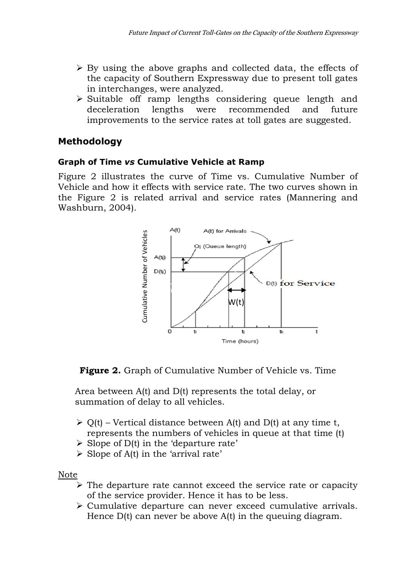- $\triangleright$  By using the above graphs and collected data, the effects of the capacity of Southern Expressway due to present toll gates in interchanges, were analyzed.
- $\triangleright$  Suitable off ramp lengths considering queue length and deceleration lengths were recommended and future improvements to the service rates at toll gates are suggested.

## **Methodology**

### **Graph of Time** *vs* **Cumulative Vehicle at Ramp**

Figure 2 illustrates the curve of Time vs. Cumulative Number of Vehicle and how it effects with service rate. The two curves shown in the Figure 2 is related arrival and service rates (Mannering and Washburn, 2004).



**Figure 2.** Graph of Cumulative Number of Vehicle vs. Time

 Area between A(t) and D(t) represents the total delay, or summation of delay to all vehicles.

- $\triangleright$  Q(t) Vertical distance between A(t) and D(t) at any time t, represents the numbers of vehicles in queue at that time (t)
- $\triangleright$  Slope of D(t) in the 'departure rate'
- $\triangleright$  Slope of A(t) in the 'arrival rate'

Note

- $\triangleright$  The departure rate cannot exceed the service rate or capacity of the service provider. Hence it has to be less.
- Cumulative departure can never exceed cumulative arrivals. Hence D(t) can never be above A(t) in the queuing diagram.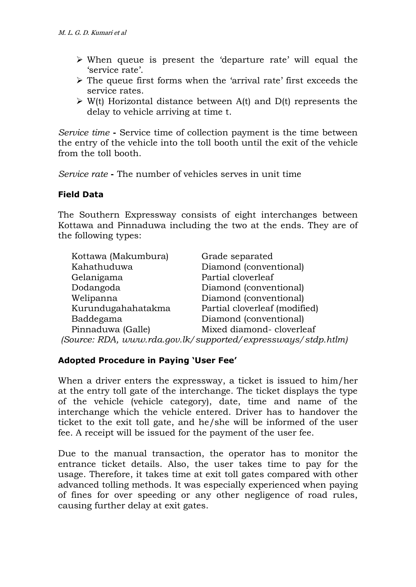- When queue is present the 'departure rate' will equal the 'service rate'.
- $\triangleright$  The queue first forms when the 'arrival rate' first exceeds the service rates.
- $\triangleright$  W(t) Horizontal distance between A(t) and D(t) represents the delay to vehicle arriving at time t.

*Service time* **-** Service time of collection payment is the time between the entry of the vehicle into the toll booth until the exit of the vehicle from the toll booth.

*Service rate* **-** The number of vehicles serves in unit time

## **Field Data**

The Southern Expressway consists of eight interchanges between Kottawa and Pinnaduwa including the two at the ends. They are of the following types:

| Kottawa (Makumbura)                                           | Grade separated               |  |  |  |  |  |
|---------------------------------------------------------------|-------------------------------|--|--|--|--|--|
| Kahathuduwa                                                   | Diamond (conventional)        |  |  |  |  |  |
| Gelanigama                                                    | Partial cloverleaf            |  |  |  |  |  |
| Dodangoda                                                     | Diamond (conventional)        |  |  |  |  |  |
| Welipanna                                                     | Diamond (conventional)        |  |  |  |  |  |
| Kurundugahahatakma                                            | Partial cloverleaf (modified) |  |  |  |  |  |
| Baddegama                                                     | Diamond (conventional)        |  |  |  |  |  |
| Pinnaduwa (Galle)                                             | Mixed diamond-cloverleaf      |  |  |  |  |  |
| (Source: RDA, www.rda.gov.lk/supported/expressways/stdp.htlm) |                               |  |  |  |  |  |

### **Adopted Procedure in Paying 'User Fee'**

When a driver enters the expressway, a ticket is issued to him/her at the entry toll gate of the interchange. The ticket displays the type of the vehicle (vehicle category), date, time and name of the interchange which the vehicle entered. Driver has to handover the ticket to the exit toll gate, and he/she will be informed of the user fee. A receipt will be issued for the payment of the user fee.

Due to the manual transaction, the operator has to monitor the entrance ticket details. Also, the user takes time to pay for the usage. Therefore, it takes time at exit toll gates compared with other advanced tolling methods. It was especially experienced when paying of fines for over speeding or any other negligence of road rules, causing further delay at exit gates.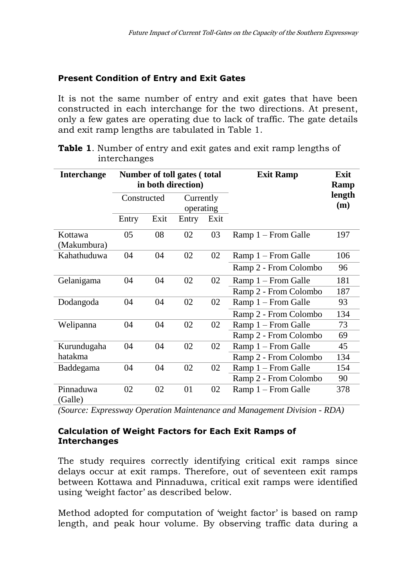## **Present Condition of Entry and Exit Gates**

It is not the same number of entry and exit gates that have been constructed in each interchange for the two directions. At present, only a few gates are operating due to lack of traffic. The gate details and exit ramp lengths are tabulated in Table 1.

| <b>Interchange</b>     |             |      | Number of toll gates (total<br>in both direction) |      | <b>Exit Ramp</b>      | Exit<br>Ramp |
|------------------------|-------------|------|---------------------------------------------------|------|-----------------------|--------------|
|                        | Constructed |      | Currently                                         |      |                       | length       |
|                        |             |      | operating                                         |      |                       | (m)          |
|                        | Entry       | Exit | Entry                                             | Exit |                       |              |
| Kottawa<br>(Makumbura) | 05          | 08   | 02                                                | 03   | Ramp 1 - From Galle   | 197          |
| Kahathuduwa            | 04          | 04   | 02                                                | 02   | Ramp 1 – From Galle   | 106          |
|                        |             |      |                                                   |      | Ramp 2 - From Colombo | 96           |
| Gelanigama             | 04          | 04   | 02                                                | 02   | Ramp 1 – From Galle   | 181          |
|                        |             |      |                                                   |      | Ramp 2 - From Colombo | 187          |
| Dodangoda              | 04          | 04   | 02                                                | 02   | Ramp 1 – From Galle   | 93           |
|                        |             |      |                                                   |      | Ramp 2 - From Colombo | 134          |
| Welipanna              | 04          | 04   | 02                                                | 02   | Ramp 1 – From Galle   | 73           |
|                        |             |      |                                                   |      | Ramp 2 - From Colombo | 69           |
| Kurundugaha            | 04          | 04   | 02                                                | 02   | Ramp 1 – From Galle   | 45           |
| hatakma                |             |      |                                                   |      | Ramp 2 - From Colombo | 134          |
| Baddegama              | 04          | 04   | 02                                                | 02   | Ramp 1 – From Galle   | 154          |
|                        |             |      |                                                   |      | Ramp 2 - From Colombo | 90           |
| Pinnaduwa<br>(Galle)   | 02          | 02   | 01                                                | 02   | Ramp 1 – From Galle   | 378          |

| <b>Table 1.</b> Number of entry and exit gates and exit ramp lengths of |  |  |  |  |  |
|-------------------------------------------------------------------------|--|--|--|--|--|
| interchanges                                                            |  |  |  |  |  |

*(Source: Expressway Operation Maintenance and Management Division - RDA)*

### **Calculation of Weight Factors for Each Exit Ramps of Interchanges**

The study requires correctly identifying critical exit ramps since delays occur at exit ramps. Therefore, out of seventeen exit ramps between Kottawa and Pinnaduwa, critical exit ramps were identified using 'weight factor' as described below.

Method adopted for computation of 'weight factor' is based on ramp length, and peak hour volume. By observing traffic data during a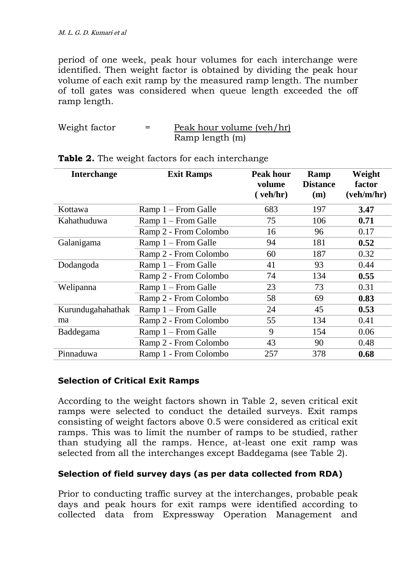period of one week, peak hour volumes for each interchange were identified. Then weight factor is obtained by dividing the peak hour volume of each exit ramp by the measured ramp length. The number of toll gates was considered when queue length exceeded the off ramp length.

| Weight factor | Peak hour volume (veh/hr) |
|---------------|---------------------------|
|               | Ramp length (m)           |

| <b>Interchange</b> | <b>Exit Ramps</b>     | Peak hour<br>volume<br>(veh/hr) | Ramp<br><b>Distance</b><br>(m) | Weight<br>factor<br>(veh/m/hr) |
|--------------------|-----------------------|---------------------------------|--------------------------------|--------------------------------|
| Kottawa            | Ramp 1 – From Galle   | 683                             | 197                            | 3.47                           |
| Kahathuduwa        | Ramp 1 – From Galle   | 75                              | 106                            | 0.71                           |
|                    | Ramp 2 - From Colombo | 16                              | 96                             | 0.17                           |
| Galanigama         | Ramp 1 – From Galle   | 94                              | 181                            | 0.52                           |
|                    | Ramp 2 - From Colombo | 60                              | 187                            | 0.32                           |
| Dodangoda          | Ramp 1 – From Galle   | 41                              | 93                             | 0.44                           |
|                    | Ramp 2 - From Colombo | 74                              | 134                            | 0.55                           |
| Welipanna          | Ramp 1 – From Galle   | 23                              | 73                             | 0.31                           |
|                    | Ramp 2 - From Colombo | 58                              | 69                             | 0.83                           |
| Kurundugahahathak  | $Ramp 1 - From Galle$ | 24                              | 45                             | 0.53                           |
| ma                 | Ramp 2 - From Colombo | 55                              | 134                            | 0.41                           |
| Baddegama          | Ramp 1 – From Galle   | 9                               | 154                            | 0.06                           |
|                    | Ramp 2 - From Colombo | 43                              | 90                             | 0.48                           |
| Pinnaduwa          | Ramp 1 - From Colombo | 257                             | 378                            | 0.68                           |

#### **Table 2.** The weight factors for each interchange

#### **Selection of Critical Exit Ramps**

According to the weight factors shown in Table 2, seven critical exit ramps were selected to conduct the detailed surveys. Exit ramps consisting of weight factors above 0.5 were considered as critical exit ramps. This was to limit the number of ramps to be studied, rather than studying all the ramps. Hence, at-least one exit ramp was selected from all the interchanges except Baddegama (see Table 2).

### **Selection of field survey days (as per data collected from RDA)**

Prior to conducting traffic survey at the interchanges, probable peak days and peak hours for exit ramps were identified according to collected data from Expressway Operation Management and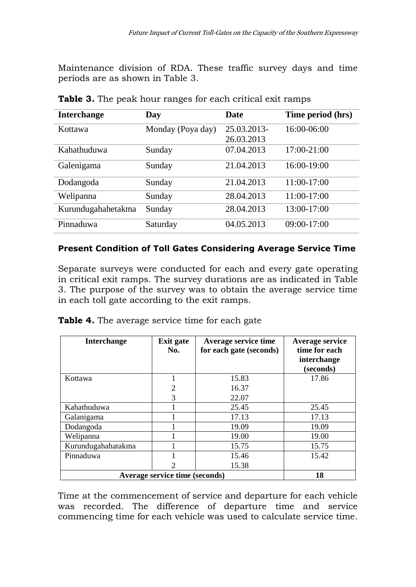Maintenance division of RDA. These traffic survey days and time periods are as shown in Table 3.

| <b>Interchange</b> | Day               | <b>Date</b> | Time period (hrs) |
|--------------------|-------------------|-------------|-------------------|
| Kottawa            | Monday (Poya day) | 25.03.2013- | 16:00-06:00       |
|                    |                   | 26.03.2013  |                   |
| Kahathuduwa        | Sunday            | 07.04.2013  | $17:00 - 21:00$   |
| Galenigama         | Sunday            | 21.04.2013  | 16:00-19:00       |
| Dodangoda          | Sunday            | 21.04.2013  | 11:00-17:00       |
| Welipanna          | Sunday            | 28.04.2013  | $11:00-17:00$     |
| Kurundugahahetakma | Sunday            | 28.04.2013  | 13:00-17:00       |
| Pinnaduwa          | Saturday          | 04.05.2013  | 09:00-17:00       |

**Table 3.** The peak hour ranges for each critical exit ramps

### **Present Condition of Toll Gates Considering Average Service Time**

Separate surveys were conducted for each and every gate operating in critical exit ramps. The survey durations are as indicated in Table 3. The purpose of the survey was to obtain the average service time in each toll gate according to the exit ramps.

|  |  | Table 4. The average service time for each gate |  |  |  |  |  |
|--|--|-------------------------------------------------|--|--|--|--|--|
|--|--|-------------------------------------------------|--|--|--|--|--|

| <b>Interchange</b> | Exit gate<br>No.                     | Average service time<br>for each gate (seconds) | Average service<br>time for each<br>interchange<br>(seconds) |  |  |  |  |  |  |
|--------------------|--------------------------------------|-------------------------------------------------|--------------------------------------------------------------|--|--|--|--|--|--|
| Kottawa            |                                      | 15.83                                           | 17.86                                                        |  |  |  |  |  |  |
|                    | $\overline{2}$                       | 16.37                                           |                                                              |  |  |  |  |  |  |
|                    | 3                                    | 22.07                                           |                                                              |  |  |  |  |  |  |
| Kahathuduwa        |                                      | 25.45                                           | 25.45                                                        |  |  |  |  |  |  |
| Galanigama         |                                      | 17.13                                           | 17.13                                                        |  |  |  |  |  |  |
| Dodangoda          |                                      | 19.09                                           | 19.09                                                        |  |  |  |  |  |  |
| Welipanna          |                                      | 19.00                                           | 19.00                                                        |  |  |  |  |  |  |
| Kurundugahahatakma |                                      | 15.75                                           | 15.75                                                        |  |  |  |  |  |  |
| Pinnaduwa          |                                      | 15.46                                           | 15.42                                                        |  |  |  |  |  |  |
|                    | $\overline{2}$                       | 15.38                                           |                                                              |  |  |  |  |  |  |
|                    | Average service time (seconds)<br>18 |                                                 |                                                              |  |  |  |  |  |  |

Time at the commencement of service and departure for each vehicle was recorded. The difference of departure time and service commencing time for each vehicle was used to calculate service time.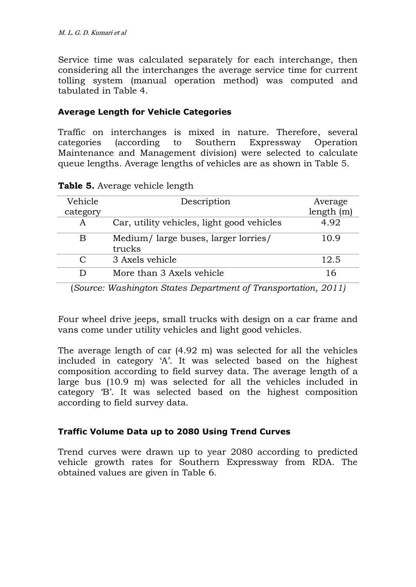Service time was calculated separately for each interchange, then considering all the interchanges the average service time for current tolling system (manual operation method) was computed and tabulated in Table 4.

### **Average Length for Vehicle Categories**

Traffic on interchanges is mixed in nature. Therefore, several categories (according to Southern Expressway Operation Maintenance and Management division) were selected to calculate queue lengths. Average lengths of vehicles are as shown in Table 5.

| Vehicle       | Description                                                    | Average   |
|---------------|----------------------------------------------------------------|-----------|
| category      |                                                                | length(m) |
| A             | Car, utility vehicles, light good vehicles                     | 4.92      |
| В             | Medium/large buses, larger lorries/                            | 10.9      |
|               | trucks                                                         |           |
| $\mathcal{C}$ | 3 Axels vehicle                                                | 12.5      |
| D             | More than 3 Axels vehicle                                      | 16        |
|               | (Source: Washington States Department of Transportation, 2011) |           |

**Table 5.** Average vehicle length

Four wheel drive jeeps, small trucks with design on a car frame and vans come under utility vehicles and light good vehicles.

The average length of car (4.92 m) was selected for all the vehicles included in category 'A'. It was selected based on the highest composition according to field survey data. The average length of a large bus (10.9 m) was selected for all the vehicles included in category 'B'. It was selected based on the highest composition according to field survey data.

## **Traffic Volume Data up to 2080 Using Trend Curves**

Trend curves were drawn up to year 2080 according to predicted vehicle growth rates for Southern Expressway from RDA. The obtained values are given in Table 6.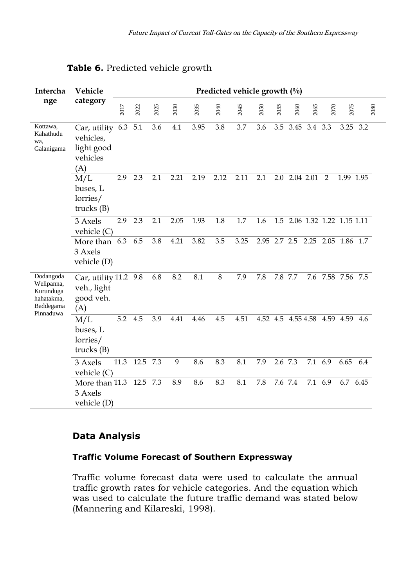| Intercha                                                                     | Vehicle                                                        |      |      |      |      |      |      | Predicted vehicle growth $\left(\frac{0}{0}\right)$ |      |      |               |         |                                  |           |          |      |
|------------------------------------------------------------------------------|----------------------------------------------------------------|------|------|------|------|------|------|-----------------------------------------------------|------|------|---------------|---------|----------------------------------|-----------|----------|------|
| nge                                                                          | category                                                       | 2017 | 2022 | 2025 | 2030 | 2035 | 2040 | 2045                                                | 2050 | 2055 | 2060          | 2065    | 2070                             | 2075      |          | 2080 |
| Kottawa,<br>Kahathudu<br>wa.<br>Galanigama                                   | Car, utility 6.3<br>vehicles,<br>light good<br>vehicles<br>(A) |      | 5.1  | 3.6  | 4.1  | 3.95 | 3.8  | 3.7                                                 | 3.6  | 3.5  | 3.45 3.4 3.3  |         |                                  | 3.25      | 3.2      |      |
|                                                                              | M/L<br>buses, L<br>lorries/<br>trucks $(B)$                    | 2.9  | 2.3  | 2.1  | 2.21 | 2.19 | 2.12 | 2.11                                                | 2.1  |      | 2.0 2.04 2.01 |         | 2                                | 1.99 1.95 |          |      |
|                                                                              | 3 Axels<br>vehicle $(C)$                                       | 2.9  | 2.3  | 2.1  | 2.05 | 1.93 | 1.8  | 1.7                                                 | 1.6  | 1.5  |               |         | 2.06 1.32 1.22 1.15 1.11         |           |          |      |
|                                                                              | More than 6.3<br>3 Axels<br>vehicle (D)                        |      | 6.5  | 3.8  | 4.21 | 3.82 | 3.5  | 3.25                                                |      |      |               |         | 2.95 2.7 2.5 2.25 2.05 1.86 1.7  |           |          |      |
| Dodangoda<br>Welipanna,<br>Kurunduga<br>hahatakma,<br>Baddegama<br>Pinnaduwa | Car, utility 11.2 9.8<br>veh., light<br>good veh.<br>(A)       |      |      | 6.8  | 8.2  | 8.1  | 8    | 7.9                                                 | 7.8  |      | 7.8 7.7       |         | 7.6 7.58 7.56 7.5                |           |          |      |
|                                                                              | M/L<br>buses, L<br>lorries/<br>trucks $(B)$                    | 5.2  | 4.5  | 3.9  | 4.41 | 4.46 | 4.5  | 4.51                                                |      |      |               |         | 4.52 4.5 4.55 4.58 4.59 4.59 4.6 |           |          |      |
|                                                                              | 3 Axels<br>vehicle $(C)$                                       | 11.3 | 12.5 | 7.3  | 9    | 8.6  | 8.3  | 8.1                                                 | 7.9  |      | 2.6 7.3       | 7.1     | 6.9                              | 6.65      | 6.4      |      |
|                                                                              | More than 11.3 12.5 7.3<br>3 Axels<br>vehicle (D)              |      |      |      | 8.9  | 8.6  | 8.3  | 8.1                                                 | 7.8  |      | 7.6 7.4       | 7.1 6.9 |                                  |           | 6.7 6.45 |      |

## **Table 6.** Predicted vehicle growth

## **Data Analysis**

#### **Traffic Volume Forecast of Southern Expressway**

Traffic volume forecast data were used to calculate the annual traffic growth rates for vehicle categories. And the equation which was used to calculate the future traffic demand was stated below (Mannering and Kilareski, 1998).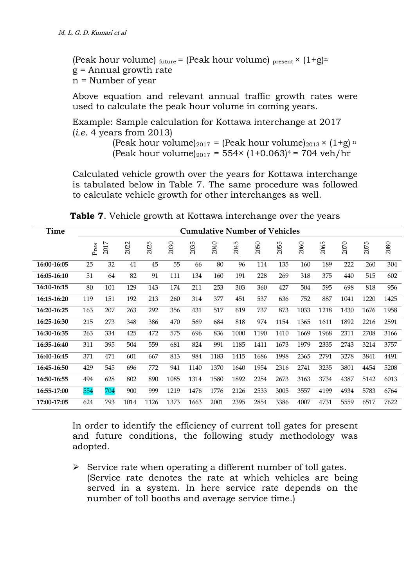(Peak hour volume)  $_{future}$  = (Peak hour volume)  $_{present}$   $\times$   $(1+g)^n$ g = Annual growth rate n = Number of year

Above equation and relevant annual traffic growth rates were used to calculate the peak hour volume in coming years.

Example: Sample calculation for Kottawa interchange at 2017 (*i.e*. 4 years from 2013)

> (Peak hour volume)<sub>2017</sub> = (Peak hour volume)<sub>2013</sub> ×  $(1+g)$ <sup>n</sup> (Peak hour volume)<sub>2017</sub> = 554× (1+0.063)<sup>4</sup> = 704 veh/hr

Calculated vehicle growth over the years for Kottawa interchange is tabulated below in Table 7. The same procedure was followed to calculate vehicle growth for other interchanges as well.

| Time        |      |      |      |      |      |      | <b>Cumulative Number of Vehicles</b> |      |      |      |      |      |      |      |      |
|-------------|------|------|------|------|------|------|--------------------------------------|------|------|------|------|------|------|------|------|
|             | Pres | 2017 | 2022 | 2025 | 2030 | 2035 | 2040                                 | 2045 | 2050 | 2055 | 2060 | 2065 | 2070 | 2075 | 2080 |
| 16:00-16:05 | 25   | 32   | 41   | 45   | 55   | 66   | 80                                   | 96   | 114  | 135  | 160  | 189  | 222  | 260  | 304  |
| 16:05-16:10 | 51   | 64   | 82   | 91   | 111  | 134  | 160                                  | 191  | 228  | 269  | 318  | 375  | 440  | 515  | 602  |
| 16:10-16:15 | 80   | 101  | 129  | 143  | 174  | 211  | 253                                  | 303  | 360  | 427  | 504  | 595  | 698  | 818  | 956  |
| 16:15-16:20 | 119  | 151  | 192  | 213  | 260  | 314  | 377                                  | 451  | 537  | 636  | 752  | 887  | 1041 | 1220 | 1425 |
| 16:20-16:25 | 163  | 207  | 263  | 292  | 356  | 431  | 517                                  | 619  | 737  | 873  | 1033 | 1218 | 1430 | 1676 | 1958 |
| 16:25-16:30 | 215  | 273  | 348  | 386  | 470  | 569  | 684                                  | 818  | 974  | 1154 | 1365 | 1611 | 1892 | 2216 | 2591 |
| 16:30-16:35 | 263  | 334  | 425  | 472  | 575  | 696  | 836                                  | 1000 | 1190 | 1410 | 1669 | 1968 | 2311 | 2708 | 3166 |
| 16:35-16:40 | 311  | 395  | 504  | 559  | 681  | 824  | 991                                  | 1185 | 1411 | 1673 | 1979 | 2335 | 2743 | 3214 | 3757 |
| 16:40-16:45 | 371  | 471  | 601  | 667  | 813  | 984  | 1183                                 | 1415 | 1686 | 1998 | 2365 | 2791 | 3278 | 3841 | 4491 |
| 16:45-16:50 | 429  | 545  | 696  | 772  | 941  | 1140 | 1370                                 | 1640 | 1954 | 2316 | 2741 | 3235 | 3801 | 4454 | 5208 |
| 16:50-16:55 | 494  | 628  | 802  | 890  | 1085 | 1314 | 1580                                 | 1892 | 2254 | 2673 | 3163 | 3734 | 4387 | 5142 | 6013 |
| 16:55-17:00 | 554  | 704  | 900  | 999  | 1219 | 1476 | 1776                                 | 2126 | 2533 | 3005 | 3557 | 4199 | 4934 | 5783 | 6764 |
| 17:00-17:05 | 624  | 793  | 1014 | 1126 | 1373 | 1663 | 2001                                 | 2395 | 2854 | 3386 | 4007 | 4731 | 5559 | 6517 | 7622 |

 **Table 7**. Vehicle growth at Kottawa interchange over the years

In order to identify the efficiency of current toll gates for present and future conditions, the following study methodology was adopted.

 $\triangleright$  Service rate when operating a different number of toll gates. (Service rate denotes the rate at which vehicles are being served in a system. In here service rate depends on the number of toll booths and average service time.)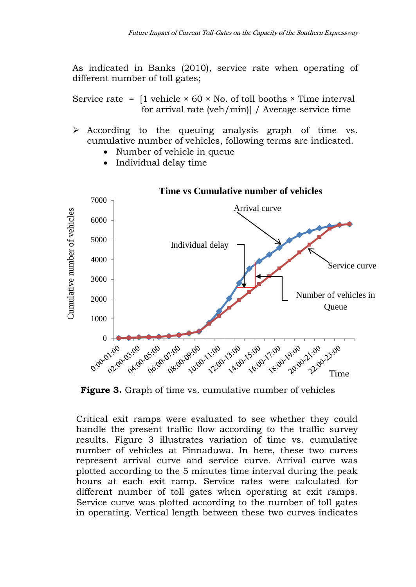As indicated in Banks (2010), service rate when operating of different number of toll gates;

Service rate =  $[1$  vehicle  $\times$  60  $\times$  No. of toll booths  $\times$  Time interval for arrival rate (veh/min)] / Average service time

- $\triangleright$  According to the queuing analysis graph of time vs. cumulative number of vehicles, following terms are indicated.
	- Number of vehicle in queue
	- Individual delay time



### **Time vs Cumulative number of vehicles**

**Figure 3.** Graph of time vs. cumulative number of vehicles

Critical exit ramps were evaluated to see whether they could handle the present traffic flow according to the traffic survey results. Figure 3 illustrates variation of time vs. cumulative number of vehicles at Pinnaduwa. In here, these two curves represent arrival curve and service curve. Arrival curve was plotted according to the 5 minutes time interval during the peak hours at each exit ramp. Service rates were calculated for different number of toll gates when operating at exit ramps. Service curve was plotted according to the number of toll gates in operating. Vertical length between these two curves indicates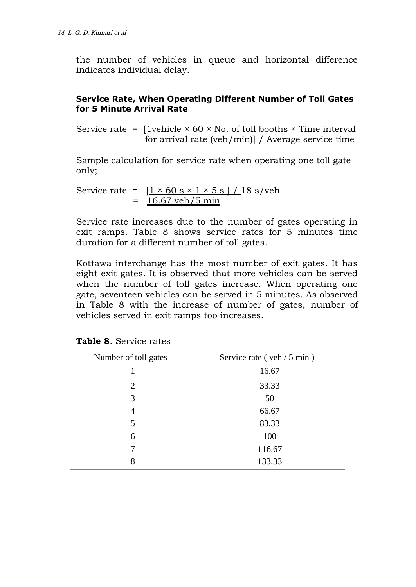the number of vehicles in queue and horizontal difference indicates individual delay.

#### **Service Rate, When Operating Different Number of Toll Gates for 5 Minute Arrival Rate**

Service rate =  $[1$ vehicle  $\times$  60  $\times$  No. of toll booths  $\times$  Time interval for arrival rate (veh/min)] / Average service time

Sample calculation for service rate when operating one toll gate only;

Service rate = 
$$
\frac{[1 \times 60 \text{ s} \times 1 \times 5 \text{ s}]/18 \text{ s/veh}}{16.67 \text{ veh/}5 \text{ min}}
$$

Service rate increases due to the number of gates operating in exit ramps. Table 8 shows service rates for 5 minutes time duration for a different number of toll gates.

Kottawa interchange has the most number of exit gates. It has eight exit gates. It is observed that more vehicles can be served when the number of toll gates increase. When operating one gate, seventeen vehicles can be served in 5 minutes. As observed in Table 8 with the increase of number of gates, number of vehicles served in exit ramps too increases.

| Number of toll gates | Service rate (veh / 5 min) |
|----------------------|----------------------------|
|                      | 16.67                      |
| 2                    | 33.33                      |
| 3                    | 50                         |
| 4                    | 66.67                      |
| 5                    | 83.33                      |
| 6                    | 100                        |
| 7                    | 116.67                     |
| 8                    | 133.33                     |

|  |  | <b>Table 8.</b> Service rates |  |
|--|--|-------------------------------|--|
|--|--|-------------------------------|--|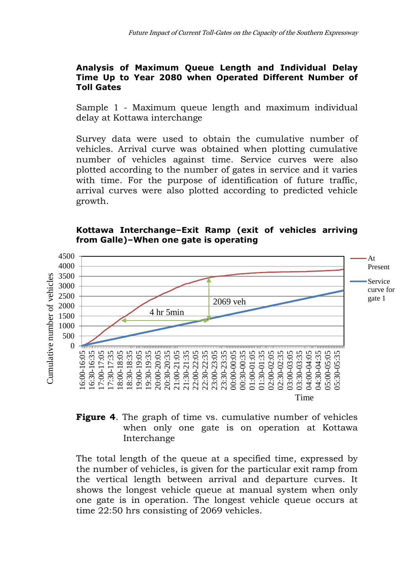#### **Analysis of Maximum Queue Length and Individual Delay Time Up to Year 2080 when Operated Different Number of Toll Gates**

Sample 1 - Maximum queue length and maximum individual delay at Kottawa interchange

Survey data were used to obtain the cumulative number of vehicles. Arrival curve was obtained when plotting cumulative number of vehicles against time. Service curves were also plotted according to the number of gates in service and it varies with time. For the purpose of identification of future traffic, arrival curves were also plotted according to predicted vehicle growth.



### **Kottawa Interchange–Exit Ramp (exit of vehicles arriving from Galle)–When one gate is operating**

### **Figure 4**. The graph of time vs. cumulative number of vehicles when only one gate is on operation at Kottawa Interchange

The total length of the queue at a specified time, expressed by the number of vehicles, is given for the particular exit ramp from the vertical length between arrival and departure curves. It shows the longest vehicle queue at manual system when only one gate is in operation. The longest vehicle queue occurs at time 22:50 hrs consisting of 2069 vehicles.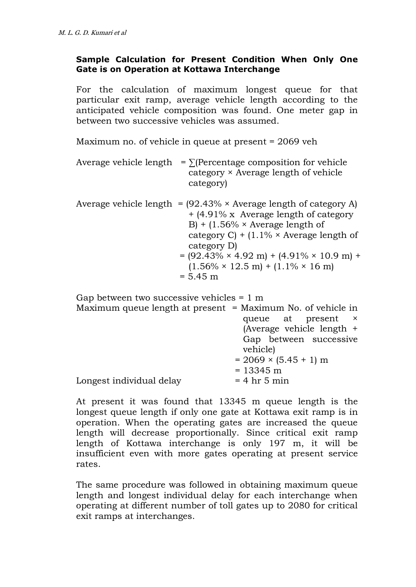### **Sample Calculation for Present Condition When Only One Gate is on Operation at Kottawa Interchange**

For the calculation of maximum longest queue for that particular exit ramp, average vehicle length according to the anticipated vehicle composition was found. One meter gap in between two successive vehicles was assumed.

Maximum no. of vehicle in queue at present = 2069 veh

| Average vehicle length | $= \sum$ (Percentage composition for vehicle<br>category × Average length of vehicle<br>category)                                                                                                                                                                                                                                                                                                                 |
|------------------------|-------------------------------------------------------------------------------------------------------------------------------------------------------------------------------------------------------------------------------------------------------------------------------------------------------------------------------------------------------------------------------------------------------------------|
|                        | Average vehicle length = $(92.43\% \times \text{Average length of category A})$<br>$+$ (4.91% x Average length of category<br>B) + $(1.56\% \times \text{Average length of})$<br>category C) + $(1.1\% \times \text{Average length of})$<br>category D)<br>$= (92.43\% \times 4.92 \text{ m}) + (4.91\% \times 10.9 \text{ m}) +$<br>$(1.56\% \times 12.5 \text{ m}) + (1.1\% \times 16 \text{ m})$<br>$= 5.45$ m |

| Gap between two successive vehicles $= 1$ m                   |                              |  |  |  |  |  |  |
|---------------------------------------------------------------|------------------------------|--|--|--|--|--|--|
| Maximum queue length at present $=$ Maximum No. of vehicle in |                              |  |  |  |  |  |  |
|                                                               | queue at present ×           |  |  |  |  |  |  |
|                                                               | (Average vehicle length +    |  |  |  |  |  |  |
|                                                               | Gap between successive       |  |  |  |  |  |  |
|                                                               | vehicle)                     |  |  |  |  |  |  |
|                                                               | $= 2069 \times (5.45 + 1)$ m |  |  |  |  |  |  |
|                                                               | $= 13345 \text{ m}$          |  |  |  |  |  |  |
| Longest individual delay                                      | $= 4$ hr 5 min               |  |  |  |  |  |  |

At present it was found that 13345 m queue length is the longest queue length if only one gate at Kottawa exit ramp is in operation. When the operating gates are increased the queue length will decrease proportionally. Since critical exit ramp length of Kottawa interchange is only 197 m, it will be insufficient even with more gates operating at present service rates.

The same procedure was followed in obtaining maximum queue length and longest individual delay for each interchange when operating at different number of toll gates up to 2080 for critical exit ramps at interchanges.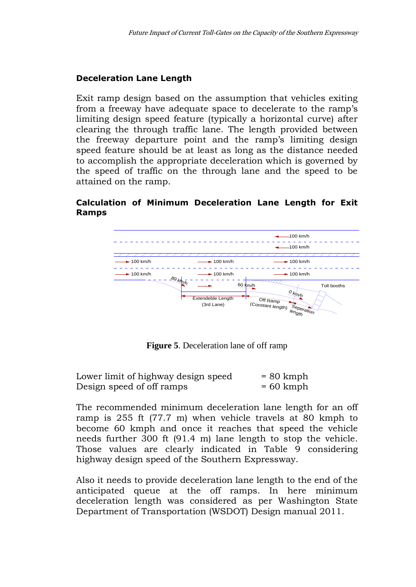#### **Deceleration Lane Length**

Exit ramp design based on the assumption that vehicles exiting from a freeway have adequate space to decelerate to the ramp's limiting design speed feature (typically a horizontal curve) after clearing the through traffic lane. The length provided between the freeway departure point and the ramp's limiting design speed feature should be at least as long as the distance needed to accomplish the appropriate deceleration which is governed by the speed of traffic on the through lane and the speed to be attained on the ramp.

#### **Calculation of Minimum Deceleration Lane Length for Exit Ramps**



**Figure 5**. Deceleration lane of off ramp

| Lower limit of highway design speed | $= 80$ kmph |
|-------------------------------------|-------------|
| Design speed of off ramps           | $= 60$ kmph |

The recommended minimum deceleration lane length for an off ramp is 255 ft (77.7 m) when vehicle travels at 80 kmph to become 60 kmph and once it reaches that speed the vehicle needs further 300 ft (91.4 m) lane length to stop the vehicle. Those values are clearly indicated in Table 9 considering highway design speed of the Southern Expressway.

Also it needs to provide deceleration lane length to the end of the anticipated queue at the off ramps. In here minimum deceleration length was considered as per Washington State Department of Transportation (WSDOT) Design manual 2011.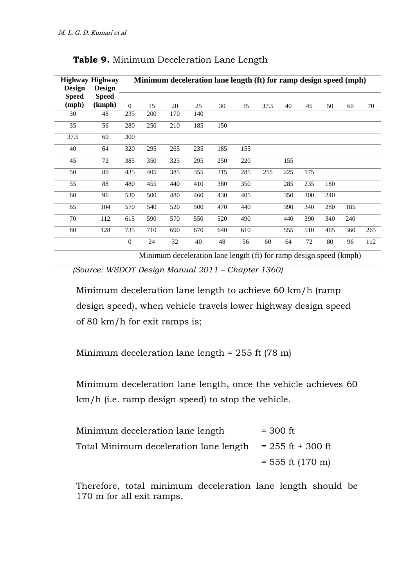| <b>Design</b> | Highway Highway<br><b>Design</b> |                |     |     | Minimum deceleration lane length (ft) for ramp design speed (mph) |     |     |      |     |     |     |     |     |
|---------------|----------------------------------|----------------|-----|-----|-------------------------------------------------------------------|-----|-----|------|-----|-----|-----|-----|-----|
| <b>Speed</b>  | Speed                            |                |     |     |                                                                   |     |     |      |     |     |     |     |     |
| (mph)         | (kmph)                           | $\theta$       | 15  | 20  | 25                                                                | 30  | 35  | 37.5 | 40  | 45  | 50  | 60  | 70  |
| 30            | 48                               | 235            | 200 | 170 | 140                                                               |     |     |      |     |     |     |     |     |
| 35            | 56                               | 280            | 250 | 210 | 185                                                               | 150 |     |      |     |     |     |     |     |
| 37.5          | 60                               | 300            |     |     |                                                                   |     |     |      |     |     |     |     |     |
| 40            | 64                               | 320            | 295 | 265 | 235                                                               | 185 | 155 |      |     |     |     |     |     |
| 45            | 72                               | 385            | 350 | 325 | 295                                                               | 250 | 220 |      | 155 |     |     |     |     |
| 50            | 80                               | 435            | 405 | 385 | 355                                                               | 315 | 285 | 255  | 225 | 175 |     |     |     |
| 55            | 88                               | 480            | 455 | 440 | 410                                                               | 380 | 350 |      | 285 | 235 | 180 |     |     |
| 60            | 96                               | 530            | 500 | 480 | 460                                                               | 430 | 405 |      | 350 | 300 | 240 |     |     |
| 65            | 104                              | 570            | 540 | 520 | 500                                                               | 470 | 440 |      | 390 | 340 | 280 | 185 |     |
| 70            | 112                              | 615            | 590 | 570 | 550                                                               | 520 | 490 |      | 440 | 390 | 340 | 240 |     |
| 80            | 128                              | 735            | 710 | 690 | 670                                                               | 640 | 610 |      | 555 | 510 | 465 | 360 | 265 |
|               |                                  | $\overline{0}$ | 24  | 32  | 40                                                                | 48  | 56  | 60   | 64  | 72  | 80  | 96  | 112 |

| <b>Table 9.</b> Minimum Deceleration Lane Length |  |  |  |  |  |  |  |  |
|--------------------------------------------------|--|--|--|--|--|--|--|--|
|--------------------------------------------------|--|--|--|--|--|--|--|--|

Minimum deceleration lane length (ft) for ramp design speed (kmph)

 *(Source: WSDOT Design Manual 2011 – Chapter 1360)*

Minimum deceleration lane length to achieve 60 km/h (ramp design speed), when vehicle travels lower highway design speed of 80 km/h for exit ramps is;

Minimum deceleration lane length = 255 ft (78 m)

Minimum deceleration lane length, once the vehicle achieves 60 km/h (i.e. ramp design speed) to stop the vehicle.

| Minimum deceleration lane length                             | $=$ 300 ft         |
|--------------------------------------------------------------|--------------------|
| Total Minimum deceleration lane length $= 255$ ft $+ 300$ ft |                    |
|                                                              | $=$ 555 ft (170 m) |

Therefore, total minimum deceleration lane length should be 170 m for all exit ramps.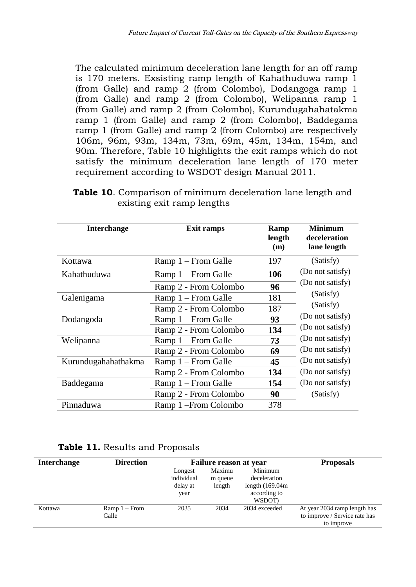The calculated minimum deceleration lane length for an off ramp is 170 meters. Exsisting ramp length of Kahathuduwa ramp 1 (from Galle) and ramp 2 (from Colombo), Dodangoga ramp 1 (from Galle) and ramp 2 (from Colombo), Welipanna ramp 1 (from Galle) and ramp 2 (from Colombo), Kurundugahahatakma ramp 1 (from Galle) and ramp 2 (from Colombo), Baddegama ramp 1 (from Galle) and ramp 2 (from Colombo) are respectively 106m, 96m, 93m, 134m, 73m, 69m, 45m, 134m, 154m, and 90m. Therefore, Table 10 highlights the exit ramps which do not satisfy the minimum deceleration lane length of 170 meter requirement according to WSDOT design Manual 2011.

| <b>Interchange</b>  | Exit ramps            | Ramp<br>length<br>(m) | <b>Minimum</b><br>deceleration<br>lane length |
|---------------------|-----------------------|-----------------------|-----------------------------------------------|
| Kottawa             | Ramp 1 – From Galle   | 197                   | (Satisfy)                                     |
| Kahathuduwa         | Ramp 1 – From Galle   | 106                   | (Do not satisfy)                              |
|                     | Ramp 2 - From Colombo | 96                    | (Do not satisfy)                              |
| Galenigama          | Ramp 1 – From Galle   | 181                   | (Satisfy)                                     |
|                     | Ramp 2 - From Colombo | 187                   | (Satisfy)                                     |
| Dodangoda           | Ramp 1 – From Galle   | 93                    | (Do not satisfy)                              |
|                     | Ramp 2 - From Colombo | 134                   | (Do not satisfy)                              |
| Welipanna           | Ramp 1 – From Galle   | 73                    | (Do not satisfy)                              |
|                     | Ramp 2 - From Colombo | 69                    | (Do not satisfy)                              |
| Kurundugahahathakma | Ramp 1 – From Galle   | 45                    | (Do not satisfy)                              |
|                     | Ramp 2 - From Colombo | 134                   | (Do not satisfy)                              |
| Baddegama           | Ramp 1 – From Galle   | 154                   | (Do not satisfy)                              |
|                     | Ramp 2 - From Colombo | 90                    | (Satisfy)                                     |
| Pinnaduwa           | Ramp 1-From Colombo   | 378                   |                                               |

| <b>Table 10.</b> Comparison of minimum deceleration lane length and |  |  |
|---------------------------------------------------------------------|--|--|
| existing exit ramp lengths                                          |  |  |

|  | Table 11. Results and Proposals |  |
|--|---------------------------------|--|
|--|---------------------------------|--|

| <b>Interchange</b> | <b>Direction</b>        | <b>Failure reason at year</b>             |                             |                                                                         | <b>Proposals</b>                                                            |
|--------------------|-------------------------|-------------------------------------------|-----------------------------|-------------------------------------------------------------------------|-----------------------------------------------------------------------------|
|                    |                         | Longest<br>individual<br>delay at<br>year | Maximu<br>m queue<br>length | Minimum<br>deceleration<br>length $(169.04m)$<br>according to<br>WSDOT) |                                                                             |
| Kottawa            | $Ramp1 - From$<br>Galle | 2035                                      | 2034                        | 2034 exceeded                                                           | At year 2034 ramp length has<br>to improve / Service rate has<br>to improve |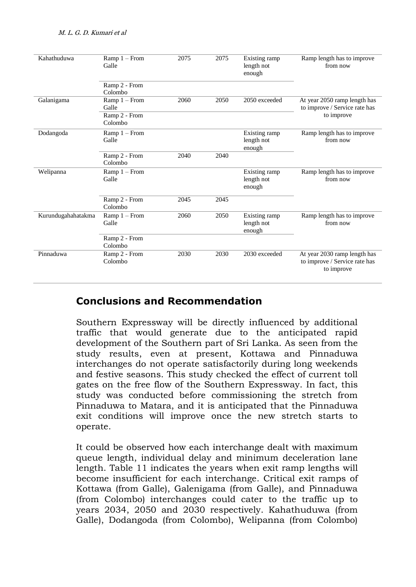| Kahathuduwa        | $Ramp1 - From$<br>Galle  | 2075 | 2075 | Existing ramp<br>length not<br>enough | Ramp length has to improve<br>from now                                      |
|--------------------|--------------------------|------|------|---------------------------------------|-----------------------------------------------------------------------------|
|                    | Ramp 2 - From<br>Colombo |      |      |                                       |                                                                             |
| Galanigama         | $Ramp1 - From$<br>Galle  | 2060 | 2050 | 2050 exceeded                         | At year 2050 ramp length has<br>to improve / Service rate has               |
|                    | Ramp 2 - From<br>Colombo |      |      |                                       | to improve                                                                  |
| Dodangoda          | $Ramp1 - From$<br>Galle  |      |      | Existing ramp<br>length not<br>enough | Ramp length has to improve<br>from now                                      |
|                    | Ramp 2 - From<br>Colombo | 2040 | 2040 |                                       |                                                                             |
| Welipanna          | $Ramp1 - From$<br>Galle  |      |      | Existing ramp<br>length not<br>enough | Ramp length has to improve<br>from now                                      |
|                    | Ramp 2 - From<br>Colombo | 2045 | 2045 |                                       |                                                                             |
| Kurundugahahatakma | $Ramp1 - From$<br>Galle  | 2060 | 2050 | Existing ramp<br>length not<br>enough | Ramp length has to improve<br>from now                                      |
|                    | Ramp 2 - From<br>Colombo |      |      |                                       |                                                                             |
| Pinnaduwa          | Ramp 2 - From<br>Colombo | 2030 | 2030 | 2030 exceeded                         | At year 2030 ramp length has<br>to improve / Service rate has<br>to improve |

# **Conclusions and Recommendation**

Southern Expressway will be directly influenced by additional traffic that would generate due to the anticipated rapid development of the Southern part of Sri Lanka. As seen from the study results, even at present, Kottawa and Pinnaduwa interchanges do not operate satisfactorily during long weekends and festive seasons. This study checked the effect of current toll gates on the free flow of the Southern Expressway. In fact, this study was conducted before commissioning the stretch from Pinnaduwa to Matara, and it is anticipated that the Pinnaduwa exit conditions will improve once the new stretch starts to operate.

It could be observed how each interchange dealt with maximum queue length, individual delay and minimum deceleration lane length. Table 11 indicates the years when exit ramp lengths will become insufficient for each interchange. Critical exit ramps of Kottawa (from Galle), Galenigama (from Galle), and Pinnaduwa (from Colombo) interchanges could cater to the traffic up to years 2034, 2050 and 2030 respectively. Kahathuduwa (from Galle), Dodangoda (from Colombo), Welipanna (from Colombo)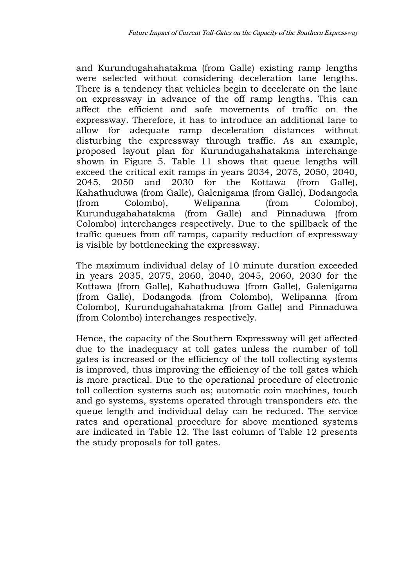and Kurundugahahatakma (from Galle) existing ramp lengths were selected without considering deceleration lane lengths. There is a tendency that vehicles begin to decelerate on the lane on expressway in advance of the off ramp lengths. This can affect the efficient and safe movements of traffic on the expressway. Therefore, it has to introduce an additional lane to allow for adequate ramp deceleration distances without disturbing the expressway through traffic. As an example, proposed layout plan for Kurundugahahatakma interchange shown in Figure 5. Table 11 shows that queue lengths will exceed the critical exit ramps in years 2034, 2075, 2050, 2040, 2045, 2050 and 2030 for the Kottawa (from Galle), Kahathuduwa (from Galle), Galenigama (from Galle), Dodangoda (from Colombo), Welipanna (from Colombo), Kurundugahahatakma (from Galle) and Pinnaduwa (from Colombo) interchanges respectively. Due to the spillback of the traffic queues from off ramps, capacity reduction of expressway is visible by bottlenecking the expressway.

The maximum individual delay of 10 minute duration exceeded in years 2035, 2075, 2060, 2040, 2045, 2060, 2030 for the Kottawa (from Galle), Kahathuduwa (from Galle), Galenigama (from Galle), Dodangoda (from Colombo), Welipanna (from Colombo), Kurundugahahatakma (from Galle) and Pinnaduwa (from Colombo) interchanges respectively.

Hence, the capacity of the Southern Expressway will get affected due to the inadequacy at toll gates unless the number of toll gates is increased or the efficiency of the toll collecting systems is improved, thus improving the efficiency of the toll gates which is more practical. Due to the operational procedure of electronic toll collection systems such as; automatic coin machines, touch and go systems, systems operated through transponders *etc*. the queue length and individual delay can be reduced. The service rates and operational procedure for above mentioned systems are indicated in Table 12. The last column of Table 12 presents the study proposals for toll gates.